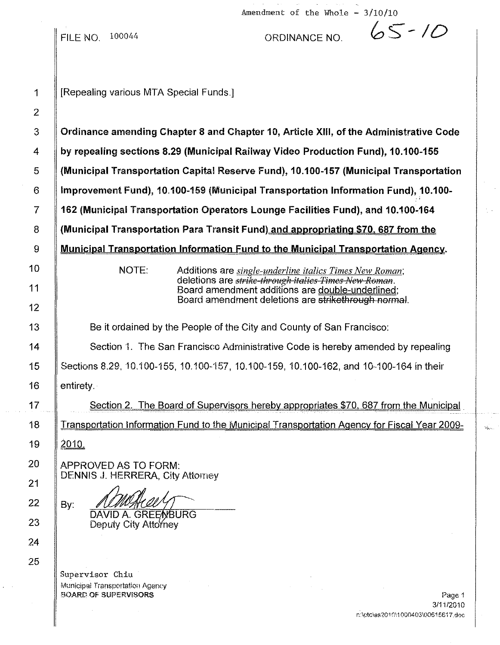|                               | Amendment of the Whole - $3/10/10$                                                                        |
|-------------------------------|-----------------------------------------------------------------------------------------------------------|
|                               | $65 - 10$<br><b>FILE NO. 100044</b><br>ORDINANCE NO.                                                      |
| $\mathbf 1$<br>$\overline{2}$ | [Repealing various MTA Special Funds.]                                                                    |
| $\mathfrak{S}$                | Ordinance amending Chapter 8 and Chapter 10, Article XIII, of the Administrative Code                     |
| 4                             | by repealing sections 8.29 (Municipal Railway Video Production Fund), 10.100-155                          |
| 5                             | (Municipal Transportation Capital Reserve Fund), 10.100-157 (Municipal Transportation                     |
| $6\phantom{.}6$               | Improvement Fund), 10.100-159 (Municipal Transportation Information Fund), 10.100-                        |
| $\overline{7}$                | 162 (Municipal Transportation Operators Lounge Facilities Fund), and 10.100-164                           |
| 8                             | (Municipal Transportation Para Transit Fund) and appropriating \$70, 687 from the                         |
| 9                             | Municipal Transportation Information Fund to the Municipal Transportation Agency.                         |
| 10                            | NOTE:<br>Additions are <i>single-underline italics Times New Roman</i> ;                                  |
| 11                            | deletions are strike-through italies Times New Roman.<br>Board amendment additions are double-underlined; |
| 12                            | Board amendment deletions are strikethrough normal.                                                       |
| 13                            | Be it ordained by the People of the City and County of San Francisco:                                     |
| 14                            | Section 1. The San Francisco Administrative Code is hereby amended by repealing                           |
| 15                            | Sections 8.29, 10.100-155, 10.100-157, 10.100-159, 10.100-162, and 10-100-164 in their                    |
| 16                            | entirety.                                                                                                 |
| 17                            | Section 2. The Board of Supervisors hereby appropriates \$70, 687 from the Municipal                      |
| 18                            | Transportation Information Fund to the Municipal Transportation Agency for Fiscal Year 2009-              |
| 19                            | <u>2010.</u>                                                                                              |
| 20                            | APPROVED AS TO FORM:                                                                                      |
| 21                            | <b>DENNIS J. HERRERA, City Attorney</b>                                                                   |
| 22                            | By:                                                                                                       |
| 23                            | <b>DAVID A. GREENBURG</b><br>Deputy City Attorney                                                         |
| 24                            |                                                                                                           |
| 25                            |                                                                                                           |
|                               | Supervisor Chiu<br>Municipal Transportation Agency                                                        |
|                               | <b>BOARD OF SUPERVISORS</b><br>Page 1<br>3/11/2010                                                        |
|                               | n:\pfc\as2010\1000403\00615617,doc                                                                        |

 $\mathcal{L}^{\text{c}}\rightarrow\mathcal{L}$ 

 $\frac{1}{2}$  .

 $\omega_{\rm{spin}}$